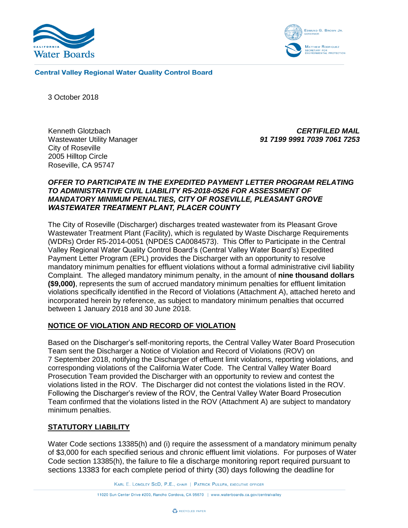



**Central Valley Regional Water Quality Control Board** 

3 October 2018

Kenneth Glotzbach Wastewater Utility Manager City of Roseville 2005 Hilltop Circle Roseville, CA 95747

*CERTIFILED MAIL 91 7199 9991 7039 7061 7253*

## *OFFER TO PARTICIPATE IN THE EXPEDITED PAYMENT LETTER PROGRAM RELATING TO ADMINISTRATIVE CIVIL LIABILITY R5-2018-0526 FOR ASSESSMENT OF MANDATORY MINIMUM PENALTIES, CITY OF ROSEVILLE, PLEASANT GROVE WASTEWATER TREATMENT PLANT, PLACER COUNTY*

The City of Roseville (Discharger) discharges treated wastewater from its Pleasant Grove Wastewater Treatment Plant (Facility), which is regulated by Waste Discharge Requirements (WDRs) Order R5-2014-0051 (NPDES CA0084573). This Offer to Participate in the Central Valley Regional Water Quality Control Board's (Central Valley Water Board's) Expedited Payment Letter Program (EPL) provides the Discharger with an opportunity to resolve mandatory minimum penalties for effluent violations without a formal administrative civil liability Complaint. The alleged mandatory minimum penalty, in the amount of **nine thousand dollars (\$9,000)**, represents the sum of accrued mandatory minimum penalties for effluent limitation violations specifically identified in the Record of Violations (Attachment A), attached hereto and incorporated herein by reference, as subject to mandatory minimum penalties that occurred between 1 January 2018 and 30 June 2018.

## **NOTICE OF VIOLATION AND RECORD OF VIOLATION**

Based on the Discharger's self-monitoring reports, the Central Valley Water Board Prosecution Team sent the Discharger a Notice of Violation and Record of Violations (ROV) on 7 September 2018, notifying the Discharger of effluent limit violations, reporting violations, and corresponding violations of the California Water Code. The Central Valley Water Board Prosecution Team provided the Discharger with an opportunity to review and contest the violations listed in the ROV. The Discharger did not contest the violations listed in the ROV. Following the Discharger's review of the ROV, the Central Valley Water Board Prosecution Team confirmed that the violations listed in the ROV (Attachment A) are subject to mandatory minimum penalties.

### **STATUTORY LIABILITY**

Water Code sections 13385(h) and (i) require the assessment of a mandatory minimum penalty of \$3,000 for each specified serious and chronic effluent limit violations. For purposes of Water Code section 13385(h), the failure to file a discharge monitoring report required pursuant to sections 13383 for each complete period of thirty (30) days following the deadline for

KARL E. LONGLEY SCD, P.E., CHAIR | PATRICK PULUPA, EXECUTIVE OFFICER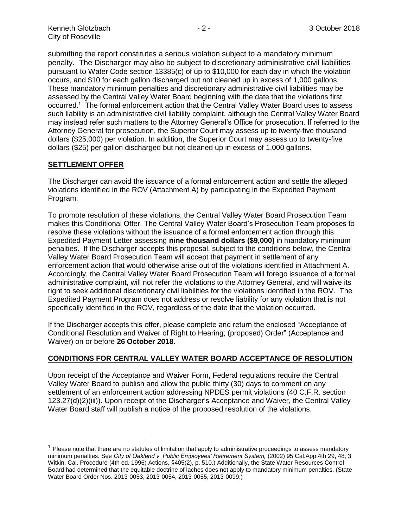submitting the report constitutes a serious violation subject to a mandatory minimum penalty. The Discharger may also be subject to discretionary administrative civil liabilities pursuant to Water Code section 13385(c) of up to \$10,000 for each day in which the violation occurs, and \$10 for each gallon discharged but not cleaned up in excess of 1,000 gallons. These mandatory minimum penalties and discretionary administrative civil liabilities may be assessed by the Central Valley Water Board beginning with the date that the violations first occurred.<sup>1</sup> The formal enforcement action that the Central Valley Water Board uses to assess such liability is an administrative civil liability complaint, although the Central Valley Water Board may instead refer such matters to the Attorney General's Office for prosecution. If referred to the Attorney General for prosecution, the Superior Court may assess up to twenty-five thousand dollars (\$25,000) per violation. In addition, the Superior Court may assess up to twenty-five dollars (\$25) per gallon discharged but not cleaned up in excess of 1,000 gallons.

## **SETTLEMENT OFFER**

 $\overline{a}$ 

The Discharger can avoid the issuance of a formal enforcement action and settle the alleged violations identified in the ROV (Attachment A) by participating in the Expedited Payment Program.

To promote resolution of these violations, the Central Valley Water Board Prosecution Team makes this Conditional Offer. The Central Valley Water Board's Prosecution Team proposes to resolve these violations without the issuance of a formal enforcement action through this Expedited Payment Letter assessing **nine thousand dollars (\$9,000)** in mandatory minimum penalties. If the Discharger accepts this proposal, subject to the conditions below, the Central Valley Water Board Prosecution Team will accept that payment in settlement of any enforcement action that would otherwise arise out of the violations identified in Attachment A. Accordingly, the Central Valley Water Board Prosecution Team will forego issuance of a formal administrative complaint, will not refer the violations to the Attorney General, and will waive its right to seek additional discretionary civil liabilities for the violations identified in the ROV. The Expedited Payment Program does not address or resolve liability for any violation that is not specifically identified in the ROV, regardless of the date that the violation occurred.

If the Discharger accepts this offer, please complete and return the enclosed "Acceptance of Conditional Resolution and Waiver of Right to Hearing; (proposed) Order" (Acceptance and Waiver) on or before **26 October 2018**.

## **CONDITIONS FOR CENTRAL VALLEY WATER BOARD ACCEPTANCE OF RESOLUTION**

Upon receipt of the Acceptance and Waiver Form, Federal regulations require the Central Valley Water Board to publish and allow the public thirty (30) days to comment on any settlement of an enforcement action addressing NPDES permit violations (40 C.F.R. section 123.27(d)(2)(iii)). Upon receipt of the Discharger's Acceptance and Waiver, the Central Valley Water Board staff will publish a notice of the proposed resolution of the violations.

 $<sup>1</sup>$  Please note that there are no statutes of limitation that apply to administrative proceedings to assess mandatory</sup> minimum penalties. See *City of Oakland v. Public Employees' Retirement System,* (2002) 95 Cal.App.4th 29, 48; 3 Witkin, Cal. Procedure (4th ed. 1996) Actions, §405(2), p. 510.) Additionally, the State Water Resources Control Board had determined that the equitable doctrine of laches does not apply to mandatory minimum penalties. (State Water Board Order Nos. 2013-0053, 2013-0054, 2013-0055, 2013-0099.)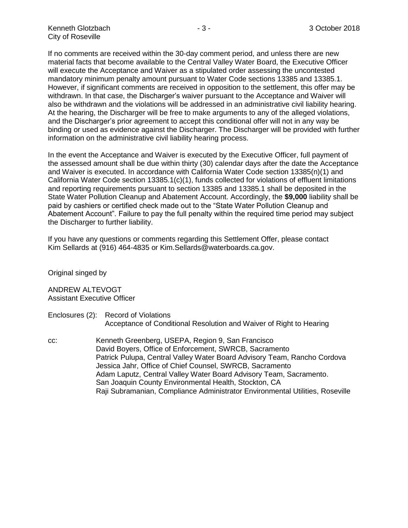If no comments are received within the 30-day comment period, and unless there are new material facts that become available to the Central Valley Water Board, the Executive Officer will execute the Acceptance and Waiver as a stipulated order assessing the uncontested mandatory minimum penalty amount pursuant to Water Code sections 13385 and 13385.1. However, if significant comments are received in opposition to the settlement, this offer may be withdrawn. In that case, the Discharger's waiver pursuant to the Acceptance and Waiver will also be withdrawn and the violations will be addressed in an administrative civil liability hearing. At the hearing, the Discharger will be free to make arguments to any of the alleged violations, and the Discharger's prior agreement to accept this conditional offer will not in any way be binding or used as evidence against the Discharger. The Discharger will be provided with further information on the administrative civil liability hearing process.

In the event the Acceptance and Waiver is executed by the Executive Officer, full payment of the assessed amount shall be due within thirty (30) calendar days after the date the Acceptance and Waiver is executed. In accordance with California Water Code section 13385(n)(1) and California Water Code section 13385.1(c)(1), funds collected for violations of effluent limitations and reporting requirements pursuant to section 13385 and 13385.1 shall be deposited in the State Water Pollution Cleanup and Abatement Account. Accordingly, the **\$9,000** liability shall be paid by cashiers or certified check made out to the "State Water Pollution Cleanup and Abatement Account". Failure to pay the full penalty within the required time period may subject the Discharger to further liability.

If you have any questions or comments regarding this Settlement Offer, please contact Kim Sellards at (916) 464-4835 or Kim.Sellards@waterboards.ca.gov.

Original singed by

ANDREW ALTEVOGT Assistant Executive Officer

- Enclosures (2): Record of Violations Acceptance of Conditional Resolution and Waiver of Right to Hearing
- cc: Kenneth Greenberg, USEPA, Region 9, San Francisco David Boyers, Office of Enforcement, SWRCB, Sacramento Patrick Pulupa, Central Valley Water Board Advisory Team, Rancho Cordova Jessica Jahr, Office of Chief Counsel, SWRCB, Sacramento Adam Laputz, Central Valley Water Board Advisory Team, Sacramento. San Joaquin County Environmental Health, Stockton, CA Raji Subramanian, Compliance Administrator Environmental Utilities, Roseville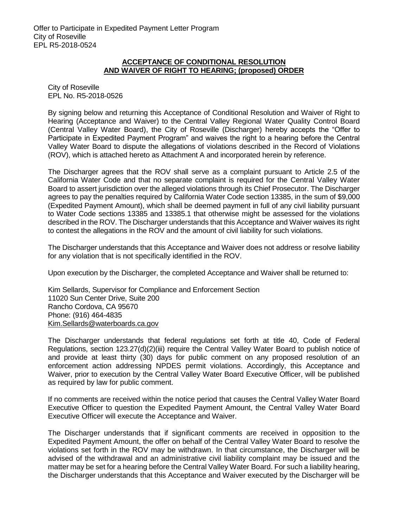### **ACCEPTANCE OF CONDITIONAL RESOLUTION AND WAIVER OF RIGHT TO HEARING; (proposed) ORDER**

City of Roseville EPL No. R5-2018-0526

By signing below and returning this Acceptance of Conditional Resolution and Waiver of Right to Hearing (Acceptance and Waiver) to the Central Valley Regional Water Quality Control Board (Central Valley Water Board), the City of Roseville (Discharger) hereby accepts the "Offer to Participate in Expedited Payment Program" and waives the right to a hearing before the Central Valley Water Board to dispute the allegations of violations described in the Record of Violations (ROV), which is attached hereto as Attachment A and incorporated herein by reference.

The Discharger agrees that the ROV shall serve as a complaint pursuant to Article 2.5 of the California Water Code and that no separate complaint is required for the Central Valley Water Board to assert jurisdiction over the alleged violations through its Chief Prosecutor. The Discharger agrees to pay the penalties required by California Water Code section 13385, in the sum of \$9,000 (Expedited Payment Amount), which shall be deemed payment in full of any civil liability pursuant to Water Code sections 13385 and 13385.1 that otherwise might be assessed for the violations described in the ROV. The Discharger understands that this Acceptance and Waiver waives its right to contest the allegations in the ROV and the amount of civil liability for such violations.

The Discharger understands that this Acceptance and Waiver does not address or resolve liability for any violation that is not specifically identified in the ROV.

Upon execution by the Discharger, the completed Acceptance and Waiver shall be returned to:

Kim Sellards, Supervisor for Compliance and Enforcement Section 11020 Sun Center Drive, Suite 200 Rancho Cordova, CA 95670 Phone: (916) 464-4835 [Kim.Sellards@waterboards.ca.gov](mailto:Kim.Sellards@waterboards.ca.gov)

The Discharger understands that federal regulations set forth at title 40, Code of Federal Regulations, section 123.27(d)(2)(iii) require the Central Valley Water Board to publish notice of and provide at least thirty (30) days for public comment on any proposed resolution of an enforcement action addressing NPDES permit violations. Accordingly, this Acceptance and Waiver, prior to execution by the Central Valley Water Board Executive Officer, will be published as required by law for public comment.

If no comments are received within the notice period that causes the Central Valley Water Board Executive Officer to question the Expedited Payment Amount, the Central Valley Water Board Executive Officer will execute the Acceptance and Waiver.

The Discharger understands that if significant comments are received in opposition to the Expedited Payment Amount, the offer on behalf of the Central Valley Water Board to resolve the violations set forth in the ROV may be withdrawn. In that circumstance, the Discharger will be advised of the withdrawal and an administrative civil liability complaint may be issued and the matter may be set for a hearing before the Central Valley Water Board. For such a liability hearing, the Discharger understands that this Acceptance and Waiver executed by the Discharger will be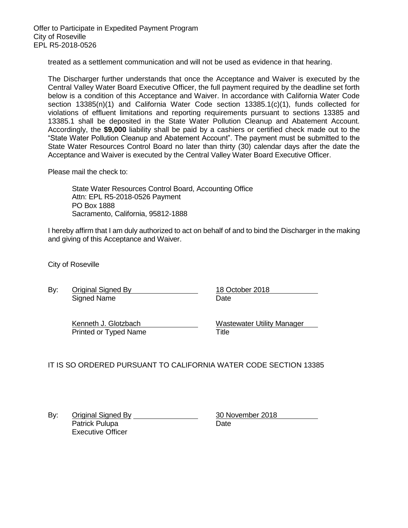treated as a settlement communication and will not be used as evidence in that hearing.

The Discharger further understands that once the Acceptance and Waiver is executed by the Central Valley Water Board Executive Officer, the full payment required by the deadline set forth below is a condition of this Acceptance and Waiver. In accordance with California Water Code section 13385(n)(1) and California Water Code section 13385.1(c)(1), funds collected for violations of effluent limitations and reporting requirements pursuant to sections 13385 and 13385.1 shall be deposited in the State Water Pollution Cleanup and Abatement Account. Accordingly, the **\$9,000** liability shall be paid by a cashiers or certified check made out to the "State Water Pollution Cleanup and Abatement Account". The payment must be submitted to the State Water Resources Control Board no later than thirty (30) calendar days after the date the Acceptance and Waiver is executed by the Central Valley Water Board Executive Officer.

Please mail the check to:

State Water Resources Control Board, Accounting Office Attn: EPL R5-2018-0526 Payment PO Box 1888 Sacramento, California, 95812-1888

I hereby affirm that I am duly authorized to act on behalf of and to bind the Discharger in the making and giving of this Acceptance and Waiver.

City of Roseville

By: Original Signed By 18 October 2018 Signed Name Date **Date** 

Printed or Typed Name Title

Kenneth J. Glotzbach **Wastewater Utility Manager** 

IT IS SO ORDERED PURSUANT TO CALIFORNIA WATER CODE SECTION 13385

By: Original Signed By 30 November 2018 Patrick Pulupa Date Executive Officer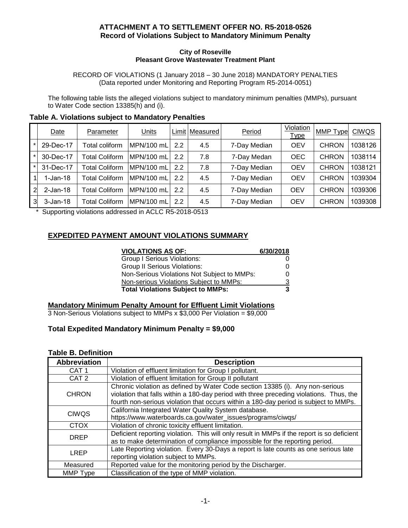## **ATTACHMENT A TO SETTLEMENT OFFER NO. R5-2018-0526 Record of Violations Subject to Mandatory Minimum Penalty**

#### **City of Roseville Pleasant Grove Wastewater Treatment Plant**

RECORD OF VIOLATIONS (1 January 2018 – 30 June 2018) MANDATORY PENALTIES (Data reported under Monitoring and Reporting Program R5-2014-0051)

The following table lists the alleged violations subject to mandatory minimum penalties (MMPs), pursuant to Water Code section 13385(h) and (i).

| Table A. Violations subject to Mandatory Penalties |
|----------------------------------------------------|
|----------------------------------------------------|

|   | Date         | Parameter             | Units      |     | Limit   Measured | Period       | Violation<br>Type | <b>MMP</b> Type | <b>CIWQS</b> |
|---|--------------|-----------------------|------------|-----|------------------|--------------|-------------------|-----------------|--------------|
|   | 29-Dec-17    | Total coliform        | MPN/100 mL | 2.2 | 4.5              | 7-Day Median | <b>OEV</b>        | <b>CHRON</b>    | 1038126      |
|   | 30-Dec-17    | Total Coliform        | MPN/100 mL | 2.2 | 7.8              | 7-Day Medan  | <b>OEC</b>        | <b>CHRON</b>    | 1038114      |
|   | 31-Dec-17    | <b>Total Coliform</b> | MPN/100 mL | 2.2 | 7.8              | 7-Day Median | <b>OEV</b>        | <b>CHRON</b>    | 1038121      |
|   | 1-Jan-18     | Total Coliform        | MPN/100 mL | 2.2 | 4.5              | 7-Day Median | <b>OEV</b>        | <b>CHRON</b>    | 1039304      |
| 2 | $2$ -Jan-18  | Total Coliform        | MPN/100 mL | 2.2 | 4.5              | 7-Day Median | <b>OEV</b>        | <b>CHRON</b>    | 1039306      |
| 3 | $3 - Jan-18$ | Total Coliform        | MPN/100 mL | 2.2 | 4.5              | 7-Day Median | <b>OEV</b>        | <b>CHRON</b>    | 1039308      |

\* Supporting violations addressed in ACLC R5-2018-0513

## **EXPEDITED PAYMENT AMOUNT VIOLATIONS SUMMARY**

| <b>VIOLATIONS AS OF:</b>                    | 6/30/2018 |
|---------------------------------------------|-----------|
| Group I Serious Violations:                 |           |
| <b>Group II Serious Violations:</b>         | 0         |
| Non-Serious Violations Not Subject to MMPs: | 0         |
| Non-serious Violations Subject to MMPs:     | З         |
| <b>Total Violations Subject to MMPs:</b>    | 3         |

### **Mandatory Minimum Penalty Amount for Effluent Limit Violations**

3 Non-Serious Violations subject to MMPs x \$3,000 Per Violation = \$9,000

### **Total Expedited Mandatory Minimum Penalty = \$9,000**

### **Table B. Definition**

| <b>Abbreviation</b> | <b>Description</b>                                                                         |
|---------------------|--------------------------------------------------------------------------------------------|
| CAT <sub>1</sub>    | Violation of effluent limitation for Group I pollutant.                                    |
| CAT <sub>2</sub>    | Violation of effluent limitation for Group II pollutant                                    |
|                     | Chronic violation as defined by Water Code section 13385 (i). Any non-serious              |
| <b>CHRON</b>        | violation that falls within a 180-day period with three preceding violations. Thus, the    |
|                     | fourth non-serious violation that occurs within a 180-day period is subject to MMPs.       |
| <b>CIWQS</b>        | California Integrated Water Quality System database.                                       |
|                     | https://www.waterboards.ca.gov/water_issues/programs/ciwqs/                                |
| <b>CTOX</b>         | Violation of chronic toxicity effluent limitation.                                         |
| <b>DREP</b>         | Deficient reporting violation. This will only result in MMPs if the report is so deficient |
|                     | as to make determination of compliance impossible for the reporting period.                |
| <b>LREP</b>         | Late Reporting violation. Every 30-Days a report is late counts as one serious late        |
|                     | reporting violation subject to MMPs.                                                       |
| Measured            | Reported value for the monitoring period by the Discharger.                                |
| MMP Type            | Classification of the type of MMP violation.                                               |